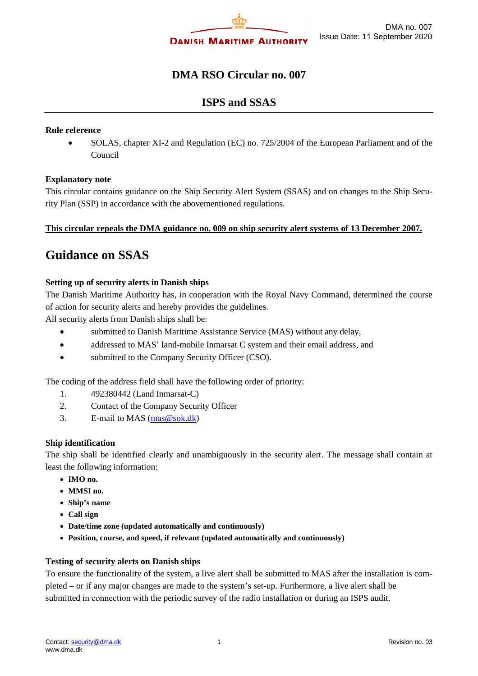

# **DMA RSO Circular no. 007**

# **ISPS and SSAS**

#### **Rule reference**

• SOLAS, chapter XI-2 and Regulation (EC) no. 725/2004 of the European Parliament and of the Council

## **Explanatory note**

This circular contains guidance on the Ship Security Alert System (SSAS) and on changes to the Ship Security Plan (SSP) in accordance with the abovementioned regulations.

## **This circular repeals the DMA guidance no. 009 on ship security alert systems of 13 December 2007.**

# **Guidance on SSAS**

## **Setting up of security alerts in Danish ships**

The Danish Maritime Authority has, in cooperation with the Royal Navy Command, determined the course of action for security alerts and hereby provides the guidelines.

All security alerts from Danish ships shall be:

- submitted to Danish Maritime Assistance Service (MAS) without any delay,
- addressed to MAS' land-mobile Inmarsat C system and their email address, and
- submitted to the Company Security Officer (CSO).

The coding of the address field shall have the following order of priority:

- 1. 492380442 (Land Inmarsat-C)
- 2. Contact of the Company Security Officer
- 3. E-mail to MAS  $(mas@sok.dk)$

## **Ship identification**

The ship shall be identified clearly and unambiguously in the security alert. The message shall contain at least the following information:

- **IMO no.**
- **MMSI no.**
- **Ship's name**
- **Call sign**
- **Date/time zone (updated automatically and continuously)**
- **Position, course, and speed, if relevant (updated automatically and continuously)**

#### **Testing of security alerts on Danish ships**

To ensure the functionality of the system, a live alert shall be submitted to MAS after the installation is completed – or if any major changes are made to the system's set-up. Furthermore, a live alert shall be submitted in connection with the periodic survey of the radio installation or during an ISPS audit.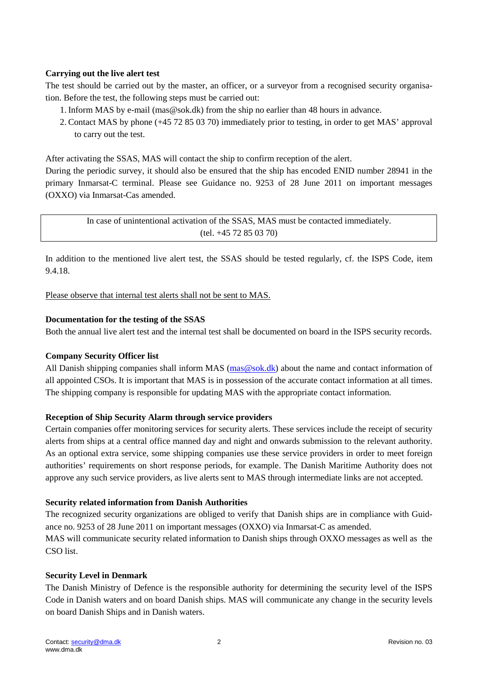## **Carrying out the live alert test**

The test should be carried out by the master, an officer, or a surveyor from a recognised security organisation. Before the test, the following steps must be carried out:

- 1. Inform MAS by e-mail (mas@sok.dk) from the ship no earlier than 48 hours in advance.
- 2. Contact MAS by phone (+45 72 85 03 70) immediately prior to testing, in order to get MAS' approval to carry out the test.

After activating the SSAS, MAS will contact the ship to confirm reception of the alert.

During the periodic survey, it should also be ensured that the ship has encoded ENID number 28941 in the primary Inmarsat-C terminal. Please see Guidance no. 9253 of 28 June 2011 on important messages (OXXO) via Inmarsat-Cas amended.

In case of unintentional activation of the SSAS, MAS must be contacted immediately. (tel. +45 72 85 03 70)

In addition to the mentioned live alert test, the SSAS should be tested regularly, cf. the ISPS Code, item 9.4.18.

Please observe that internal test alerts shall not be sent to MAS.

#### **Documentation for the testing of the SSAS**

Both the annual live alert test and the internal test shall be documented on board in the ISPS security records.

## **Company Security Officer list**

All Danish shipping companies shall inform MAS [\(mas@sok.dk\)](mailto:mas@sok.dk) about the name and contact information of all appointed CSOs. It is important that MAS is in possession of the accurate contact information at all times. The shipping company is responsible for updating MAS with the appropriate contact information.

#### **Reception of Ship Security Alarm through service providers**

Certain companies offer monitoring services for security alerts. These services include the receipt of security alerts from ships at a central office manned day and night and onwards submission to the relevant authority. As an optional extra service, some shipping companies use these service providers in order to meet foreign authorities' requirements on short response periods, for example. The Danish Maritime Authority does not approve any such service providers, as live alerts sent to MAS through intermediate links are not accepted.

#### **Security related information from Danish Authorities**

The recognized security organizations are obliged to verify that Danish ships are in compliance with Guidance no. 9253 of 28 June 2011 on important messages (OXXO) via Inmarsat-C as amended. MAS will communicate security related information to Danish ships through OXXO messages as well as the CSO list.

#### **Security Level in Denmark**

The Danish Ministry of Defence is the responsible authority for determining the security level of the ISPS Code in Danish waters and on board Danish ships. MAS will communicate any change in the security levels on board Danish Ships and in Danish waters.